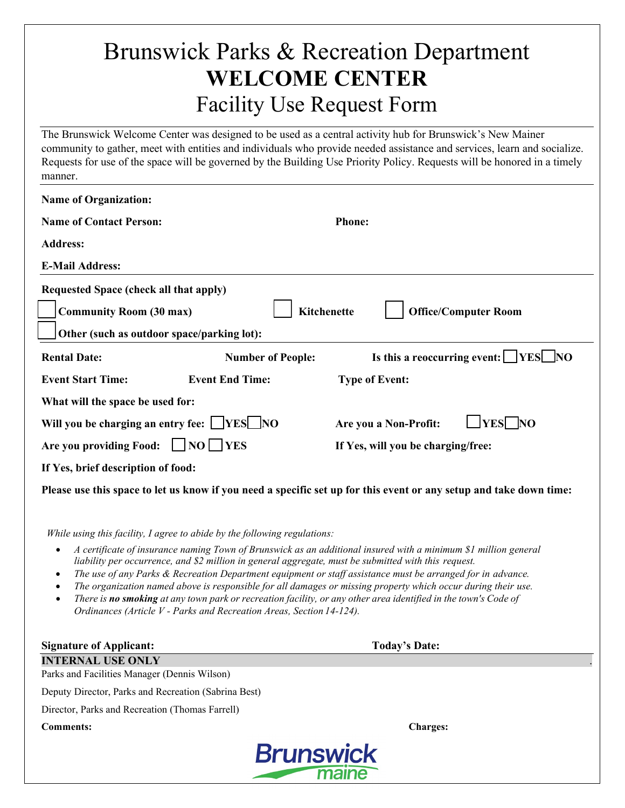## Brunswick Parks & Recreation Department **WELCOME CENTER** Facility Use Request Form

The Brunswick Welcome Center was designed to be used as a central activity hub for Brunswick's New Mainer community to gather, meet with entities and individuals who provide needed assistance and services, learn and socialize. Requests for use of the space will be governed by the Building Use Priority Policy. Requests will be honored in a timely manner.

| <b>Name of Organization:</b>                                                                                                                                                                                                                                                                                                                                                                                                                                                                                                                                                                                                                                                                                                                                   |                                                        |
|----------------------------------------------------------------------------------------------------------------------------------------------------------------------------------------------------------------------------------------------------------------------------------------------------------------------------------------------------------------------------------------------------------------------------------------------------------------------------------------------------------------------------------------------------------------------------------------------------------------------------------------------------------------------------------------------------------------------------------------------------------------|--------------------------------------------------------|
| <b>Name of Contact Person:</b>                                                                                                                                                                                                                                                                                                                                                                                                                                                                                                                                                                                                                                                                                                                                 | <b>Phone:</b>                                          |
| <b>Address:</b>                                                                                                                                                                                                                                                                                                                                                                                                                                                                                                                                                                                                                                                                                                                                                |                                                        |
| <b>E-Mail Address:</b>                                                                                                                                                                                                                                                                                                                                                                                                                                                                                                                                                                                                                                                                                                                                         |                                                        |
|                                                                                                                                                                                                                                                                                                                                                                                                                                                                                                                                                                                                                                                                                                                                                                |                                                        |
| Requested Space (check all that apply)                                                                                                                                                                                                                                                                                                                                                                                                                                                                                                                                                                                                                                                                                                                         |                                                        |
| <b>Community Room (30 max)</b>                                                                                                                                                                                                                                                                                                                                                                                                                                                                                                                                                                                                                                                                                                                                 | <b>Kitchenette</b><br><b>Office/Computer Room</b>      |
| Other (such as outdoor space/parking lot):                                                                                                                                                                                                                                                                                                                                                                                                                                                                                                                                                                                                                                                                                                                     |                                                        |
| <b>Rental Date:</b><br><b>Number of People:</b>                                                                                                                                                                                                                                                                                                                                                                                                                                                                                                                                                                                                                                                                                                                | Is this a reoccurring event: $\Box$ YES $\Box$ NO      |
| <b>Event Start Time:</b><br><b>Event End Time:</b>                                                                                                                                                                                                                                                                                                                                                                                                                                                                                                                                                                                                                                                                                                             | <b>Type of Event:</b>                                  |
| What will the space be used for:                                                                                                                                                                                                                                                                                                                                                                                                                                                                                                                                                                                                                                                                                                                               |                                                        |
| Will you be charging an entry fee: VES NO                                                                                                                                                                                                                                                                                                                                                                                                                                                                                                                                                                                                                                                                                                                      | <b>YES</b><br>$\overline{NQ}$<br>Are you a Non-Profit: |
| Are you providing Food:<br>$ $ $ NO $ $ YES$                                                                                                                                                                                                                                                                                                                                                                                                                                                                                                                                                                                                                                                                                                                   | If Yes, will you be charging/free:                     |
| If Yes, brief description of food:                                                                                                                                                                                                                                                                                                                                                                                                                                                                                                                                                                                                                                                                                                                             |                                                        |
| Please use this space to let us know if you need a specific set up for this event or any setup and take down time:                                                                                                                                                                                                                                                                                                                                                                                                                                                                                                                                                                                                                                             |                                                        |
| While using this facility, I agree to abide by the following regulations:<br>A certificate of insurance naming Town of Brunswick as an additional insured with a minimum \$1 million general<br>٠<br>liability per occurrence, and \$2 million in general aggregate, must be submitted with this request.<br>The use of any Parks & Recreation Department equipment or staff assistance must be arranged for in advance.<br>$\bullet$<br>The organization named above is responsible for all damages or missing property which occur during their use.<br>There is no smoking at any town park or recreation facility, or any other area identified in the town's Code of<br>$\bullet$<br>Ordinances (Article V - Parks and Recreation Areas, Section 14-124). |                                                        |
| <b>Signature of Applicant:</b>                                                                                                                                                                                                                                                                                                                                                                                                                                                                                                                                                                                                                                                                                                                                 | <b>Today's Date:</b>                                   |
| <b>INTERNAL USE ONLY</b>                                                                                                                                                                                                                                                                                                                                                                                                                                                                                                                                                                                                                                                                                                                                       |                                                        |
| Parks and Facilities Manager (Dennis Wilson)                                                                                                                                                                                                                                                                                                                                                                                                                                                                                                                                                                                                                                                                                                                   |                                                        |
| Deputy Director, Parks and Recreation (Sabrina Best)                                                                                                                                                                                                                                                                                                                                                                                                                                                                                                                                                                                                                                                                                                           |                                                        |
| Director, Parks and Recreation (Thomas Farrell)                                                                                                                                                                                                                                                                                                                                                                                                                                                                                                                                                                                                                                                                                                                |                                                        |
| <b>Comments:</b>                                                                                                                                                                                                                                                                                                                                                                                                                                                                                                                                                                                                                                                                                                                                               | <b>Charges:</b>                                        |